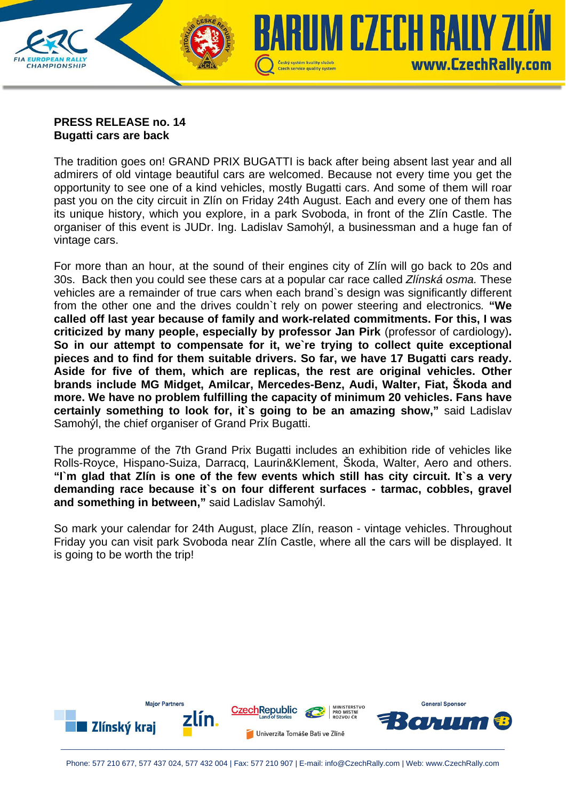

## **PRESS RELEASE no. 14 Bugatti cars are back**

The tradition goes on! GRAND PRIX BUGATTI is back after being absent last year and all admirers of old vintage beautiful cars are welcomed. Because not every time you get the opportunity to see one of a kind vehicles, mostly Bugatti cars. And some of them will roar past you on the city circuit in Zlín on Friday 24th August. Each and every one of them has its unique history, which you explore, in a park Svoboda, in front of the Zlín Castle. The organiser of this event is JUDr. Ing. Ladislav Samohýl, a businessman and a huge fan of vintage cars.

For more than an hour, at the sound of their engines city of Zlín will go back to 20s and 30s. Back then you could see these cars at a popular car race called *Zlínská osma.* These vehicles are a remainder of true cars when each brand`s design was significantly different from the other one and the drives couldn`t rely on power steering and electronics*.* **"We called off last year because of family and work-related commitments. For this, I was criticized by many people, especially by professor Jan Pirk** (professor of cardiology)**. So in our attempt to compensate for it, we`re trying to collect quite exceptional pieces and to find for them suitable drivers. So far, we have 17 Bugatti cars ready. Aside for five of them, which are replicas, the rest are original vehicles. Other brands include MG Midget, Amilcar, Mercedes-Benz, Audi, Walter, Fiat, Škoda and more. We have no problem fulfilling the capacity of minimum 20 vehicles. Fans have certainly something to look for, it`s going to be an amazing show,"** said Ladislav Samohýl, the chief organiser of Grand Prix Bugatti.

The programme of the 7th Grand Prix Bugatti includes an exhibition ride of vehicles like Rolls-Royce, Hispano-Suiza, Darracq, Laurin&Klement, Škoda, Walter, Aero and others. **"I`m glad that Zlín is one of the few events which still has city circuit. It`s a very demanding race because it`s on four different surfaces - tarmac, cobbles, gravel and something in between,"** said Ladislav Samohýl.

So mark your calendar for 24th August, place Zlín, reason - vintage vehicles. Throughout Friday you can visit park Svoboda near Zlín Castle, where all the cars will be displayed. It is going to be worth the trip!